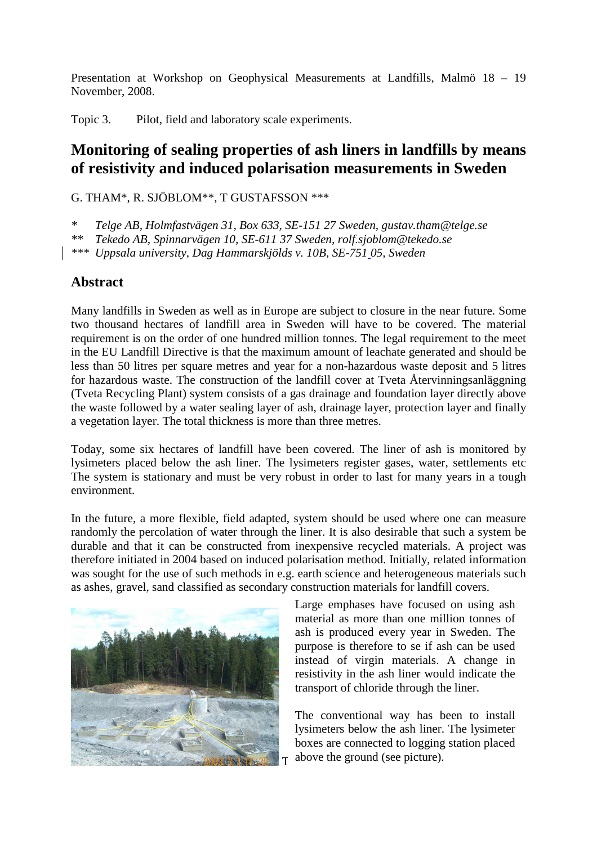Presentation at Workshop on Geophysical Measurements at Landfills, Malmö 18 – 19 November, 2008.

Topic 3. Pilot, field and laboratory scale experiments.

## **Monitoring of sealing properties of ash liners in landfills by means of resistivity and induced polarisation measurements in Sweden**

G. THAM\*, R. SJÖBLOM\*\*, T GUSTAFSSON \*\*\*

*\* Telge AB, Holmfastvägen 31, Box 633, SE-151 27 Sweden, gustav.tham@telge.se* 

*\*\* Tekedo AB, Spinnarvägen 10, SE-611 37 Sweden, rolf.sjoblom@tekedo.se* 

*\*\*\* Uppsala university, Dag Hammarskjölds v. 10B, SE-751 05, Sweden* 

## **Abstract**

Many landfills in Sweden as well as in Europe are subject to closure in the near future. Some two thousand hectares of landfill area in Sweden will have to be covered. The material requirement is on the order of one hundred million tonnes. The legal requirement to the meet in the EU Landfill Directive is that the maximum amount of leachate generated and should be less than 50 litres per square metres and year for a non-hazardous waste deposit and 5 litres for hazardous waste. The construction of the landfill cover at Tveta Återvinningsanläggning (Tveta Recycling Plant) system consists of a gas drainage and foundation layer directly above the waste followed by a water sealing layer of ash, drainage layer, protection layer and finally a vegetation layer. The total thickness is more than three metres.

Today, some six hectares of landfill have been covered. The liner of ash is monitored by lysimeters placed below the ash liner. The lysimeters register gases, water, settlements etc The system is stationary and must be very robust in order to last for many years in a tough environment.

In the future, a more flexible, field adapted, system should be used where one can measure randomly the percolation of water through the liner. It is also desirable that such a system be durable and that it can be constructed from inexpensive recycled materials. A project was therefore initiated in 2004 based on induced polarisation method. Initially, related information was sought for the use of such methods in e.g. earth science and heterogeneous materials such as ashes, gravel, sand classified as secondary construction materials for landfill covers.



Large emphases have focused on using ash material as more than one million tonnes of ash is produced every year in Sweden. The purpose is therefore to se if ash can be used instead of virgin materials. A change in resistivity in the ash liner would indicate the transport of chloride through the liner.

 $T$  above the ground (see picture). The conventional way has been to install lysimeters below the ash liner. The lysimeter boxes are connected to logging station placed